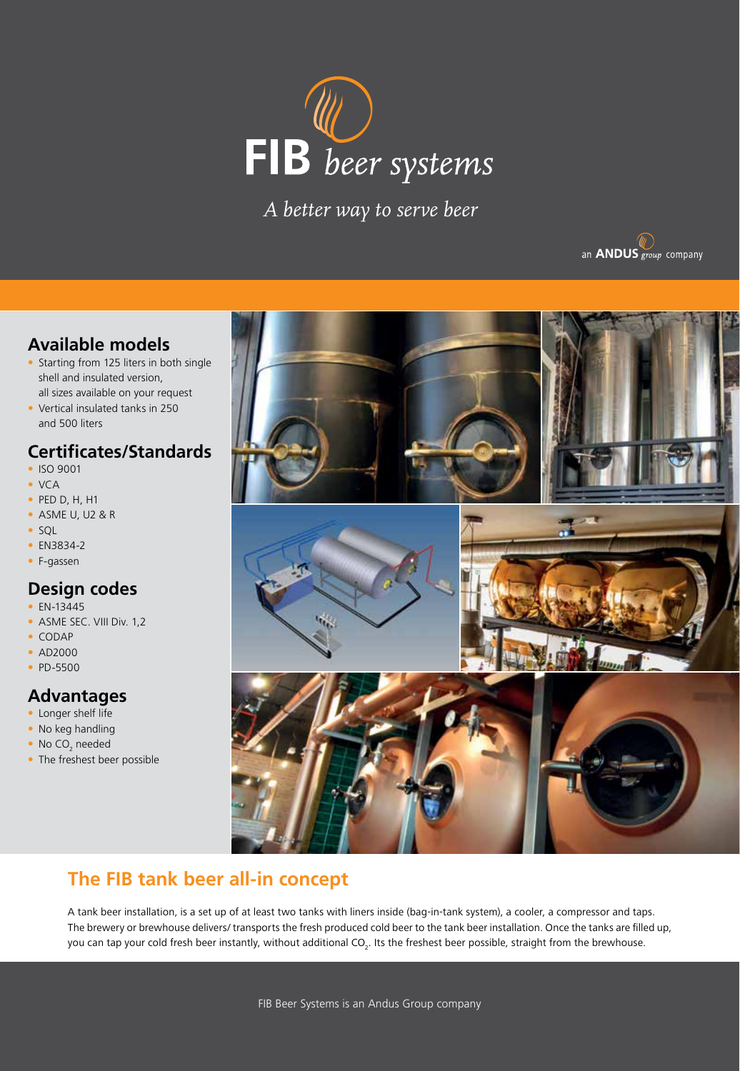

*A better way to serve beer*



## **Available models**

- Starting from 125 liters in both single shell and insulated version, all sizes available on your request
- Vertical insulated tanks in 250 and 500 liters

## **Certificates/Standards**

- ISO 9001
- VCA
- PED D, H, H1
- ASME U, U2 & R
- SQL
- EN3834-2
- F-gassen

### **Design codes**

- EN-13445
- ASME SEC. VIII Div. 1.2
- CODAP
- AD2000
- PD-5500

### **Advantages**

- Longer shelf life
- No keg handling
- No CO<sub>2</sub> needed
- The freshest beer possible



# **The FIB tank beer all-in concept**

A tank beer installation, is a set up of at least two tanks with liners inside (bag-in-tank system), a cooler, a compressor and taps. The brewery or brewhouse delivers/ transports the fresh produced cold beer to the tank beer installation. Once the tanks are filled up, you can tap your cold fresh beer instantly, without additional CO<sub>2</sub>. Its the freshest beer possible, straight from the brewhouse.